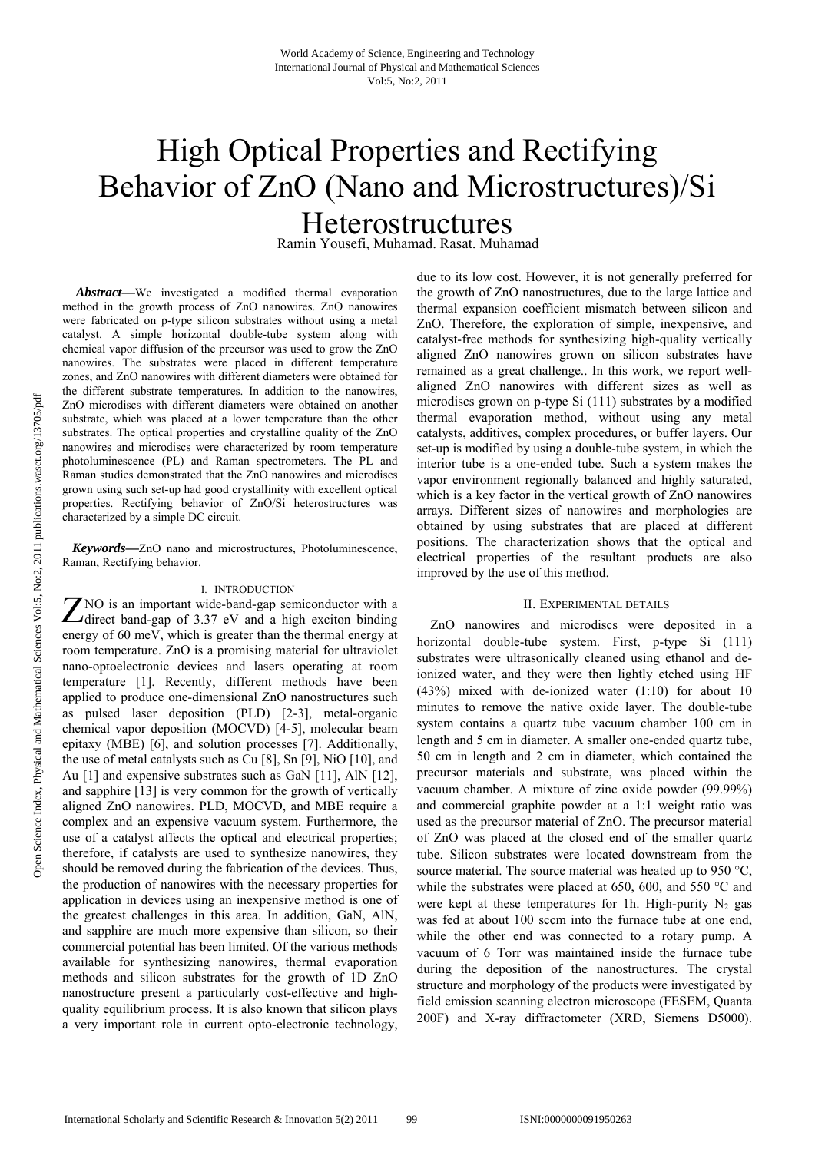# High Optical Properties and Rectifying Behavior of ZnO (Nano and Microstructures)/Si Heterostructures

Ramin Yousefi, Muhamad. Rasat. Muhamad

*Abstract***—**We investigated a modified thermal evaporation method in the growth process of ZnO nanowires. ZnO nanowires were fabricated on p-type silicon substrates without using a metal catalyst. A simple horizontal double-tube system along with chemical vapor diffusion of the precursor was used to grow the ZnO nanowires. The substrates were placed in different temperature zones, and ZnO nanowires with different diameters were obtained for the different substrate temperatures. In addition to the nanowires, ZnO microdiscs with different diameters were obtained on another substrate, which was placed at a lower temperature than the other substrates. The optical properties and crystalline quality of the ZnO nanowires and microdiscs were characterized by room temperature photoluminescence (PL) and Raman spectrometers. The PL and Raman studies demonstrated that the ZnO nanowires and microdiscs grown using such set-up had good crystallinity with excellent optical properties. Rectifying behavior of ZnO/Si heterostructures was characterized by a simple DC circuit.

 *Keywords***—**ZnO nano and microstructures, Photoluminescence, Raman, Rectifying behavior.

### I. INTRODUCTION

NO is an important wide-band-gap semiconductor with a The is an important wide-band-gap semiconductor with a direct band-gap of 3.37 eV and a high exciton binding energy of 60 meV, which is greater than the thermal energy at room temperature. ZnO is a promising material for ultraviolet nano-optoelectronic devices and lasers operating at room temperature [1]. Recently, different methods have been applied to produce one-dimensional ZnO nanostructures such as pulsed laser deposition (PLD) [2-3], metal-organic chemical vapor deposition (MOCVD) [4-5], molecular beam epitaxy (MBE) [6], and solution processes [7]. Additionally, the use of metal catalysts such as Cu [8], Sn [9], NiO [10], and Au [1] and expensive substrates such as GaN [11], AlN [12], and sapphire [13] is very common for the growth of vertically aligned ZnO nanowires. PLD, MOCVD, and MBE require a complex and an expensive vacuum system. Furthermore, the use of a catalyst affects the optical and electrical properties; therefore, if catalysts are used to synthesize nanowires, they should be removed during the fabrication of the devices. Thus, the production of nanowires with the necessary properties for application in devices using an inexpensive method is one of the greatest challenges in this area. In addition, GaN, AlN, and sapphire are much more expensive than silicon, so their commercial potential has been limited. Of the various methods available for synthesizing nanowires, thermal evaporation methods and silicon substrates for the growth of 1D ZnO nanostructure present a particularly cost-effective and highquality equilibrium process. It is also known that silicon plays a very important role in current opto-electronic technology,

due to its low cost. However, it is not generally preferred for the growth of ZnO nanostructures, due to the large lattice and thermal expansion coefficient mismatch between silicon and ZnO. Therefore, the exploration of simple, inexpensive, and catalyst-free methods for synthesizing high-quality vertically aligned ZnO nanowires grown on silicon substrates have remained as a great challenge.. In this work, we report wellaligned ZnO nanowires with different sizes as well as microdiscs grown on p-type Si (111) substrates by a modified thermal evaporation method, without using any metal catalysts, additives, complex procedures, or buffer layers. Our set-up is modified by using a double-tube system, in which the interior tube is a one-ended tube. Such a system makes the vapor environment regionally balanced and highly saturated, which is a key factor in the vertical growth of ZnO nanowires arrays. Different sizes of nanowires and morphologies are obtained by using substrates that are placed at different positions. The characterization shows that the optical and electrical properties of the resultant products are also improved by the use of this method.

# II. EXPERIMENTAL DETAILS

ZnO nanowires and microdiscs were deposited in a horizontal double-tube system. First, p-type Si (111) substrates were ultrasonically cleaned using ethanol and deionized water, and they were then lightly etched using HF (43%) mixed with de-ionized water (1:10) for about 10 minutes to remove the native oxide layer. The double-tube system contains a quartz tube vacuum chamber 100 cm in length and 5 cm in diameter. A smaller one-ended quartz tube, 50 cm in length and 2 cm in diameter, which contained the precursor materials and substrate, was placed within the vacuum chamber. A mixture of zinc oxide powder (99.99%) and commercial graphite powder at a 1:1 weight ratio was used as the precursor material of ZnO. The precursor material of ZnO was placed at the closed end of the smaller quartz tube. Silicon substrates were located downstream from the source material. The source material was heated up to 950 °C, while the substrates were placed at 650, 600, and 550 °C and were kept at these temperatures for 1h. High-purity  $N_2$  gas was fed at about 100 sccm into the furnace tube at one end, while the other end was connected to a rotary pump. A vacuum of 6 Torr was maintained inside the furnace tube during the deposition of the nanostructures. The crystal structure and morphology of the products were investigated by field emission scanning electron microscope (FESEM, Quanta 200F) and X-ray diffractometer (XRD, Siemens D5000).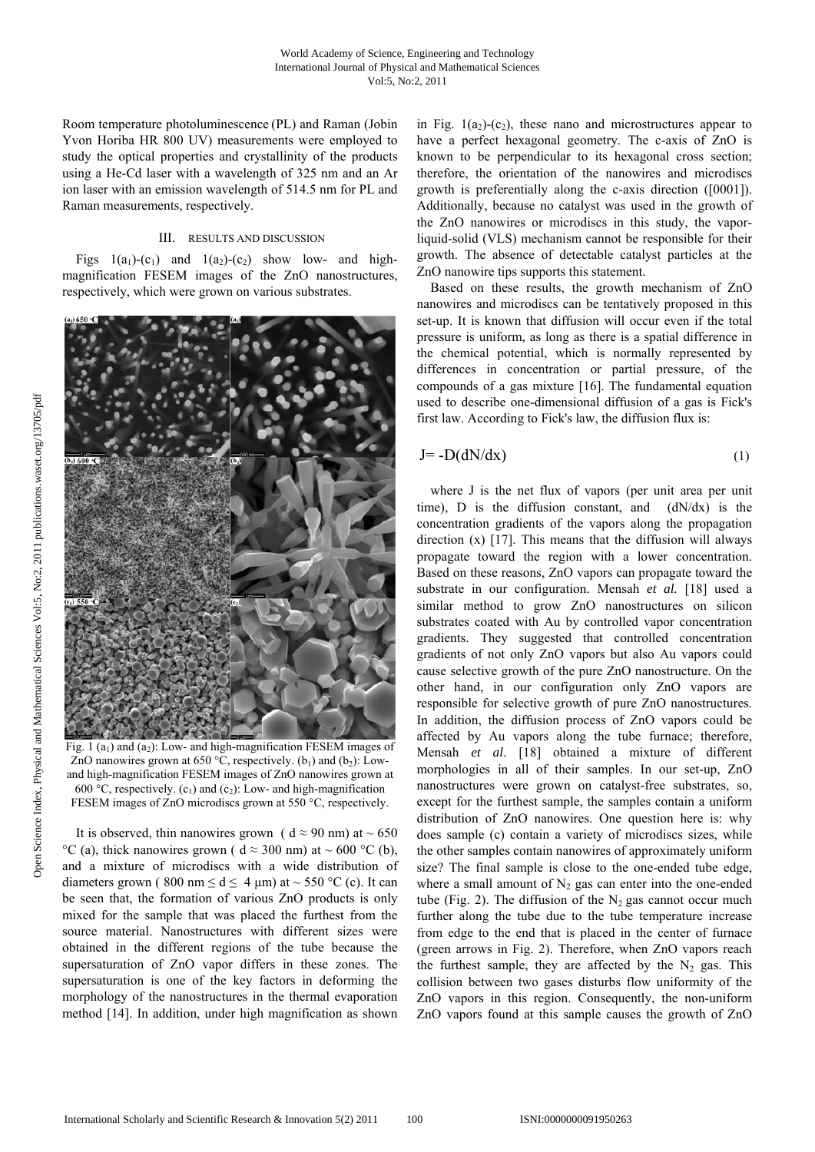Room temperature photoluminescence (PL) and Raman (Jobin Yvon Horiba HR 800 UV) measurements were employed to study the optical properties and crystallinity of the products using a He-Cd laser with a wavelength of 325 nm and an Ar ion laser with an emission wavelength of 514.5 nm for PL and Raman measurements, respectively.

# III. RESULTS AND DISCUSSION

Figs  $1(a_1)-(c_1)$  and  $1(a_2)-(c_2)$  show low- and highmagnification FESEM images of the ZnO nanostructures, respectively, which were grown on various substrates.



Fig. 1  $(a_1)$  and  $(a_2)$ : Low- and high-magnification FESEM images of ZnO nanowires grown at 650 °C, respectively. ( $b_1$ ) and ( $b_2$ ): Lowand high-magnification FESEM images of ZnO nanowires grown at 600 °C, respectively.  $(c_1)$  and  $(c_2)$ : Low- and high-magnification FESEM images of ZnO microdiscs grown at 550 °C, respectively.

It is observed, thin nanowires grown (  $d \approx 90$  nm) at  $\sim 650$ °C (a), thick nanowires grown (  $d \approx 300$  nm) at ~ 600 °C (b), and a mixture of microdiscs with a wide distribution of diameters grown (800 nm  $\le d \le 4$  µm) at ~ 550 °C (c). It can be seen that, the formation of various ZnO products is only mixed for the sample that was placed the furthest from the source material. Nanostructures with different sizes were obtained in the different regions of the tube because the supersaturation of ZnO vapor differs in these zones. The supersaturation is one of the key factors in deforming the morphology of the nanostructures in the thermal evaporation method [14]. In addition, under high magnification as shown

in Fig.  $1(a_2)-(c_2)$ , these nano and microstructures appear to have a perfect hexagonal geometry. The c-axis of ZnO is known to be perpendicular to its hexagonal cross section; therefore, the orientation of the nanowires and microdiscs growth is preferentially along the c-axis direction ([0001]). Additionally, because no catalyst was used in the growth of the ZnO nanowires or microdiscs in this study, the vaporliquid-solid (VLS) mechanism cannot be responsible for their growth. The absence of detectable catalyst particles at the ZnO nanowire tips supports this statement.

Based on these results, the growth mechanism of ZnO nanowires and microdiscs can be tentatively proposed in this set-up. It is known that diffusion will occur even if the total pressure is uniform, as long as there is a spatial difference in the chemical potential, which is normally represented by differences in concentration or partial pressure, of the compounds of a gas mixture [16]. The fundamental equation used to describe one-dimensional diffusion of a gas is Fick's first law. According to Fick's law, the diffusion flux is:

$$
J = -D(dN/dx) \tag{1}
$$

where J is the net flux of vapors (per unit area per unit time), D is the diffusion constant, and  $(dN/dx)$  is the concentration gradients of the vapors along the propagation direction (x) [17]. This means that the diffusion will always propagate toward the region with a lower concentration. Based on these reasons, ZnO vapors can propagate toward the substrate in our configuration. Mensah *et al.* [18] used a similar method to grow ZnO nanostructures on silicon substrates coated with Au by controlled vapor concentration gradients. They suggested that controlled concentration gradients of not only ZnO vapors but also Au vapors could cause selective growth of the pure ZnO nanostructure. On the other hand, in our configuration only ZnO vapors are responsible for selective growth of pure ZnO nanostructures. In addition, the diffusion process of ZnO vapors could be affected by Au vapors along the tube furnace; therefore, Mensah *et al*. [18] obtained a mixture of different morphologies in all of their samples. In our set-up, ZnO nanostructures were grown on catalyst-free substrates, so, except for the furthest sample, the samples contain a uniform distribution of ZnO nanowires. One question here is: why does sample (c) contain a variety of microdiscs sizes, while the other samples contain nanowires of approximately uniform size? The final sample is close to the one-ended tube edge, where a small amount of  $N_2$  gas can enter into the one-ended tube (Fig. 2). The diffusion of the  $N_2$  gas cannot occur much further along the tube due to the tube temperature increase from edge to the end that is placed in the center of furnace (green arrows in Fig. 2). Therefore, when ZnO vapors reach the furthest sample, they are affected by the  $N_2$  gas. This collision between two gases disturbs flow uniformity of the ZnO vapors in this region. Consequently, the non-uniform ZnO vapors found at this sample causes the growth of ZnO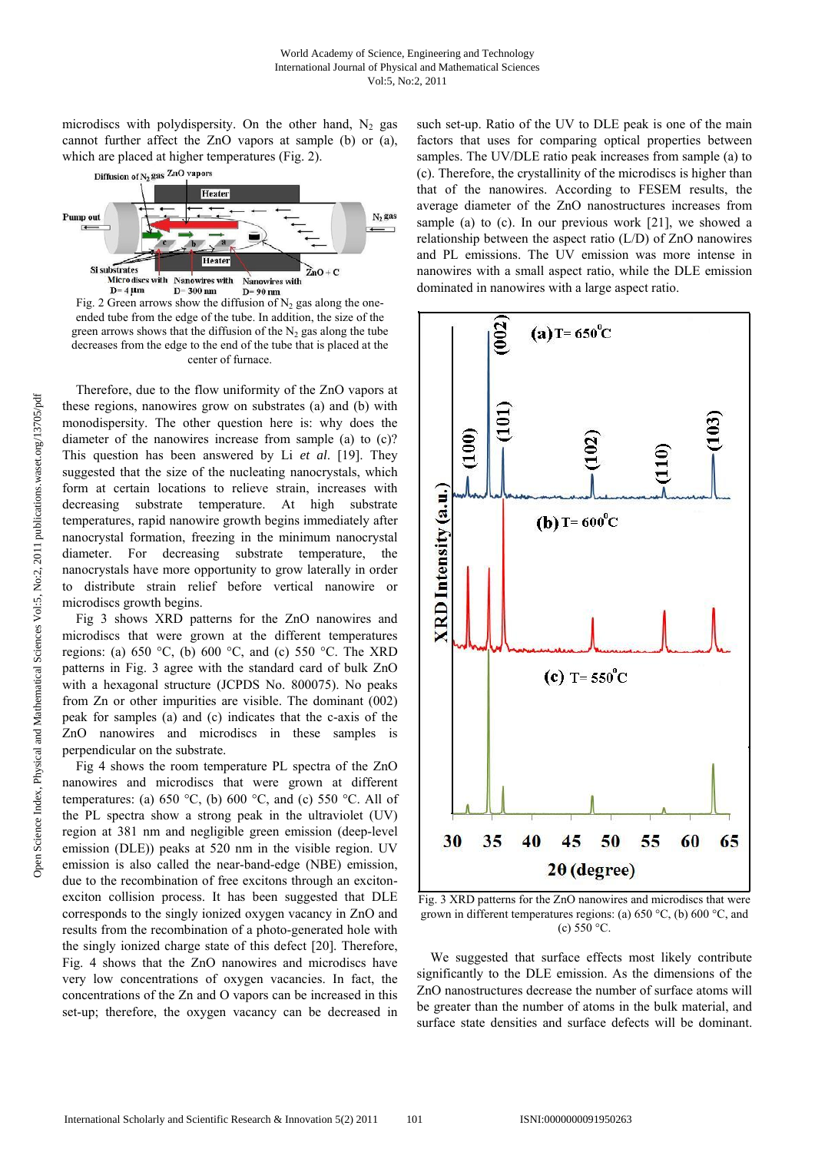microdiscs with polydispersity. On the other hand,  $N_2$  gas cannot further affect the ZnO vapors at sample (b) or (a), which are placed at higher temperatures (Fig. 2).



Fig. 2 Green arrows show the diffusion of  $N_2$  gas along the oneended tube from the edge of the tube. In addition, the size of the green arrows shows that the diffusion of the  $N_2$  gas along the tube decreases from the edge to the end of the tube that is placed at the center of furnace.

Therefore, due to the flow uniformity of the ZnO vapors at these regions, nanowires grow on substrates (a) and (b) with monodispersity. The other question here is: why does the diameter of the nanowires increase from sample (a) to (c)? This question has been answered by Li *et al*. [19]. They suggested that the size of the nucleating nanocrystals, which form at certain locations to relieve strain, increases with decreasing substrate temperature. At high substrate temperatures, rapid nanowire growth begins immediately after nanocrystal formation, freezing in the minimum nanocrystal diameter. For decreasing substrate temperature, the nanocrystals have more opportunity to grow laterally in order to distribute strain relief before vertical nanowire or microdiscs growth begins.

Fig 3 shows XRD patterns for the ZnO nanowires and microdiscs that were grown at the different temperatures regions: (a)  $650 °C$ , (b)  $600 °C$ , and (c)  $550 °C$ . The XRD patterns in Fig. 3 agree with the standard card of bulk ZnO with a hexagonal structure (JCPDS No. 800075). No peaks from Zn or other impurities are visible. The dominant (002) peak for samples (a) and (c) indicates that the c-axis of the ZnO nanowires and microdiscs in these samples is perpendicular on the substrate.

Fig 4 shows the room temperature PL spectra of the ZnO nanowires and microdiscs that were grown at different temperatures: (a) 650 °C, (b) 600 °C, and (c) 550 °C. All of the PL spectra show a strong peak in the ultraviolet (UV) region at 381 nm and negligible green emission (deep-level emission (DLE)) peaks at 520 nm in the visible region. UV emission is also called the near-band-edge (NBE) emission, due to the recombination of free excitons through an excitonexciton collision process. It has been suggested that DLE corresponds to the singly ionized oxygen vacancy in ZnO and results from the recombination of a photo-generated hole with the singly ionized charge state of this defect [20]. Therefore, Fig. 4 shows that the ZnO nanowires and microdiscs have very low concentrations of oxygen vacancies. In fact, the concentrations of the Zn and O vapors can be increased in this set-up; therefore, the oxygen vacancy can be decreased in

such set-up. Ratio of the UV to DLE peak is one of the main factors that uses for comparing optical properties between samples. The UV/DLE ratio peak increases from sample (a) to (c). Therefore, the crystallinity of the microdiscs is higher than that of the nanowires. According to FESEM results, the average diameter of the ZnO nanostructures increases from sample (a) to (c). In our previous work [21], we showed a relationship between the aspect ratio (L/D) of ZnO nanowires and PL emissions. The UV emission was more intense in nanowires with a small aspect ratio, while the DLE emission dominated in nanowires with a large aspect ratio.



Fig. 3 XRD patterns for the ZnO nanowires and microdiscs that were grown in different temperatures regions: (a) 650 °C, (b) 600 °C, and (c)  $550 °C$ .

We suggested that surface effects most likely contribute significantly to the DLE emission. As the dimensions of the ZnO nanostructures decrease the number of surface atoms will be greater than the number of atoms in the bulk material, and surface state densities and surface defects will be dominant.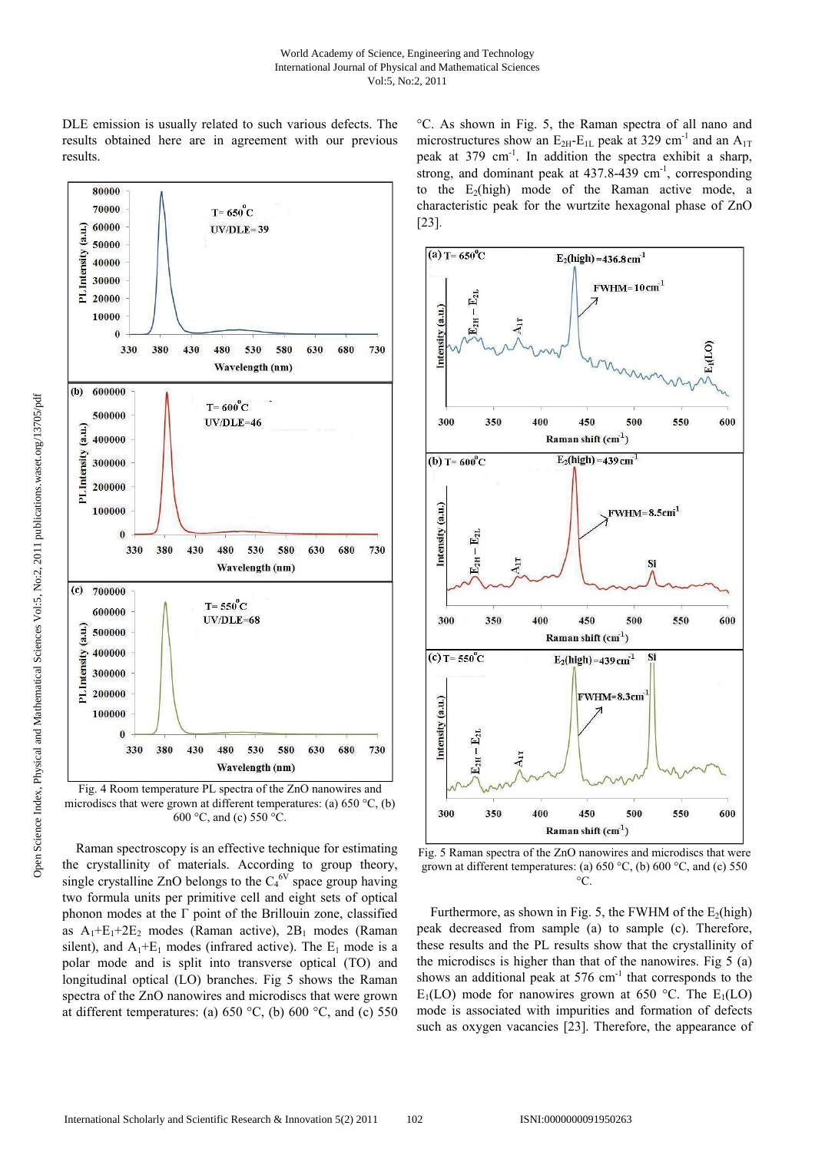DLE emission is usually related to such various defects. The results obtained here are in agreement with our previous results.



Fig. 4 Room temperature PL spectra of the ZnO nanowires and microdiscs that were grown at different temperatures: (a)  $650 \degree C$ , (b) 600 °C, and (c) 550 °C.

Raman spectroscopy is an effective technique for estimating the crystallinity of materials. According to group theory, single crystalline ZnO belongs to the  $C_4^{6V}$  space group having two formula units per primitive cell and eight sets of optical phonon modes at the  $\Gamma$  point of the Brillouin zone, classified as  $A_1 + E_1 + 2E_2$  modes (Raman active),  $2B_1$  modes (Raman silent), and  $A_1 + E_1$  modes (infrared active). The  $E_1$  mode is a polar mode and is split into transverse optical (TO) and longitudinal optical (LO) branches. Fig 5 shows the Raman spectra of the ZnO nanowires and microdiscs that were grown at different temperatures: (a)  $650 °C$ , (b)  $600 °C$ , and (c)  $550$ 

°C. As shown in Fig. 5, the Raman spectra of all nano and microstructures show an  $E_{2H}$ - $E_{1L}$  peak at 329 cm<sup>-1</sup> and an  $A_{1T}$ peak at 379 cm-1. In addition the spectra exhibit a sharp, strong, and dominant peak at  $437.8-439$  cm<sup>-1</sup>, corresponding to the  $E_2(high)$  mode of the Raman active mode, a characteristic peak for the wurtzite hexagonal phase of ZnO [23].



Fig. 5 Raman spectra of the ZnO nanowires and microdiscs that were grown at different temperatures: (a) 650 °C, (b) 600 °C, and (c) 550  $\circ$ 

Furthermore, as shown in Fig. 5, the FWHM of the  $E_2$ (high) peak decreased from sample (a) to sample (c). Therefore, these results and the PL results show that the crystallinity of the microdiscs is higher than that of the nanowires. Fig 5 (a) shows an additional peak at  $576 \text{ cm}^{-1}$  that corresponds to the  $E_1(LO)$  mode for nanowires grown at 650 °C. The  $E_1(LO)$ mode is associated with impurities and formation of defects such as oxygen vacancies [23]. Therefore, the appearance of